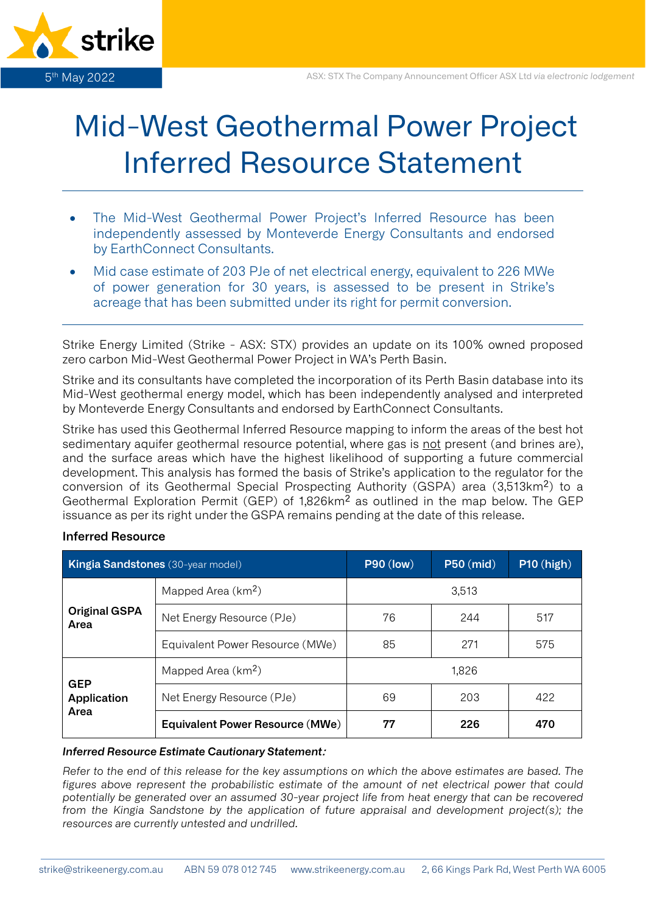

# Mid-West Geothermal Power Project Inferred Resource Statement

- The Mid-West Geothermal Power Project's Inferred Resource has been independently assessed by Monteverde Energy Consultants and endorsed by EarthConnect Consultants.
- Mid case estimate of 203 PJe of net electrical energy, equivalent to 226 MWe of power generation for 30 years, is assessed to be present in Strike's acreage that has been submitted under its right for permit conversion.

Strike Energy Limited (Strike - ASX: STX) provides an update on its 100% owned proposed zero carbon Mid-West Geothermal Power Project in WA's Perth Basin.

Strike and its consultants have completed the incorporation of its Perth Basin database into its Mid-West geothermal energy model, which has been independently analysed and interpreted by Monteverde Energy Consultants and endorsed by EarthConnect Consultants.

Strike has used this Geothermal Inferred Resource mapping to inform the areas of the best hot sedimentary aquifer geothermal resource potential, where gas is not present (and brines are), and the surface areas which have the highest likelihood of supporting a future commercial development. This analysis has formed the basis of Strike's application to the regulator for the conversion of its Geothermal Special Prospecting Authority (GSPA) area (3,513km<sup>2</sup>) to a Geothermal Exploration Permit (GEP) of 1,826km² as outlined in the map below. The GEP issuance as per its right under the GSPA remains pending at the date of this release.

## **Inferred Resource**

| <b>Kingia Sandstones</b> (30-year model) |                                        | <b>P90 (low)</b> | <b>P50 (mid)</b> | $P10$ (high) |
|------------------------------------------|----------------------------------------|------------------|------------------|--------------|
| <b>Original GSPA</b><br>Area             | Mapped Area (km <sup>2</sup> )         | 3,513            |                  |              |
|                                          | Net Energy Resource (PJe)              | 76               | 244              | 517          |
|                                          | Equivalent Power Resource (MWe)        | 85               | 271              | 575          |
| <b>GEP</b><br>Application<br>Area        | Mapped Area (km <sup>2</sup> )         | 1,826            |                  |              |
|                                          | Net Energy Resource (PJe)              | 69               | 203              | 422          |
|                                          | <b>Equivalent Power Resource (MWe)</b> | 77               | 226              | 470          |

#### *Inferred Resource Estimate Cautionary Statement***:**

*Refer to the end of this release for the key assumptions on which the above estimates are based. The figures above represent the probabilistic estimate of the amount of net electrical power that could potentially be generated over an assumed 30-year project life from heat energy that can be recovered from the Kingia Sandstone by the application of future appraisal and development project(s); the resources are currently untested and undrilled.*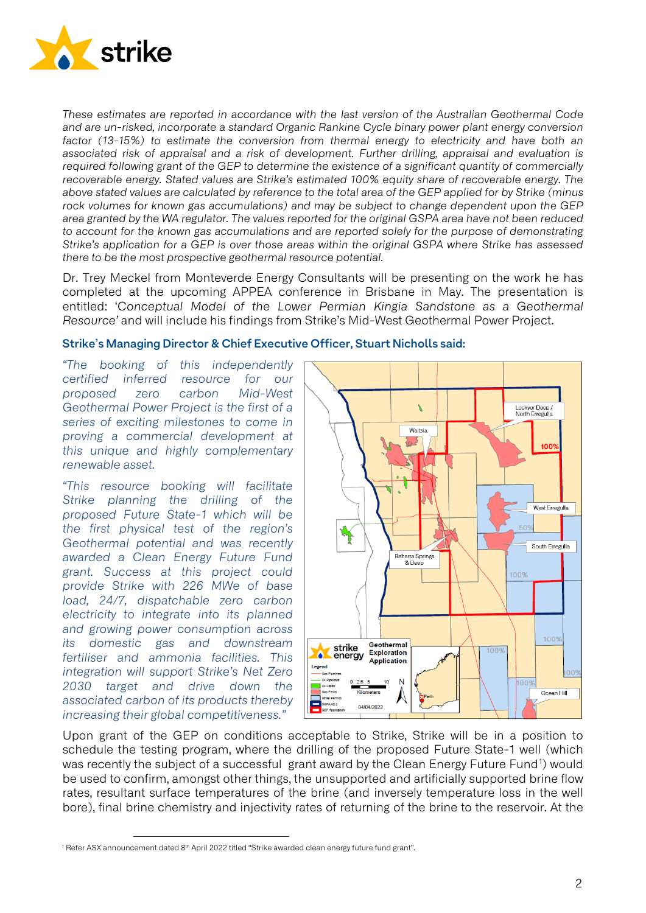

*These estimates are reported in accordance with the last version of the Australian Geothermal Code and are un-risked, incorporate a standard Organic Rankine Cycle binary power plant energy conversion factor (13-15%) to estimate the conversion from thermal energy to electricity and have both an associated risk of appraisal and a risk of development. Further drilling, appraisal and evaluation is required following grant of the GEP to determine the existence of a significant quantity of commercially recoverable energy. Stated values are Strike's estimated 100% equity share of recoverable energy. The above stated values are calculated by reference to the total area of the GEP applied for by Strike (minus rock volumes for known gas accumulations) and may be subject to change dependent upon the GEP area granted by the WA regulator. The values reported for the original GSPA area have not been reduced to account for the known gas accumulations and are reported solely for the purpose of demonstrating Strike's application for a GEP is over those areas within the original GSPA where Strike has assessed there to be the most prospective geothermal resource potential.* 

Dr. Trey Meckel from Monteverde Energy Consultants will be presenting on the work he has completed at the upcoming APPEA conference in Brisbane in May. The presentation is entitled: '*Conceptual Model of the Lower Permian Kingia Sandstone as a Geothermal Resource'* and will include his findings from Strike's Mid-West Geothermal Power Project.

#### **Strike's Managing Director & Chief Executive Officer, Stuart Nicholls said:**

*"The booking of this independently certified inferred resource for our proposed zero carbon Mid-West Geothermal Power Project is the first of a series of exciting milestones to come in proving a commercial development at this unique and highly complementary renewable asset.*

*"This resource booking will facilitate Strike planning the drilling of the proposed Future State-1 which will be the first physical test of the region's Geothermal potential and was recently awarded a Clean Energy Future Fund grant. Success at this project could provide Strike with 226 MWe of base load, 24/7, dispatchable zero carbon electricity to integrate into its planned and growing power consumption across its domestic gas and downstream fertiliser and ammonia facilities. This integration will support Strike's Net Zero 2030 target and drive down the associated carbon of its products thereby increasing their global competitiveness."*



Upon grant of the GEP on conditions acceptable to Strike, Strike will be in a position to schedule the testing program, where the drilling of the proposed Future State-1 well (which was recently the subject of a successful grant award by the Clean Energy Future Fund<sup>[1](#page-1-0)</sup>) would be used to confirm, amongst other things, the unsupported and artificially supported brine flow rates, resultant surface temperatures of the brine (and inversely temperature loss in the well bore), final brine chemistry and injectivity rates of returning of the brine to the reservoir. At the

<span id="page-1-0"></span><sup>&</sup>lt;sup>1</sup> Refer ASX announcement dated 8<sup>th</sup> April 2022 titled "Strike awarded clean energy future fund grant".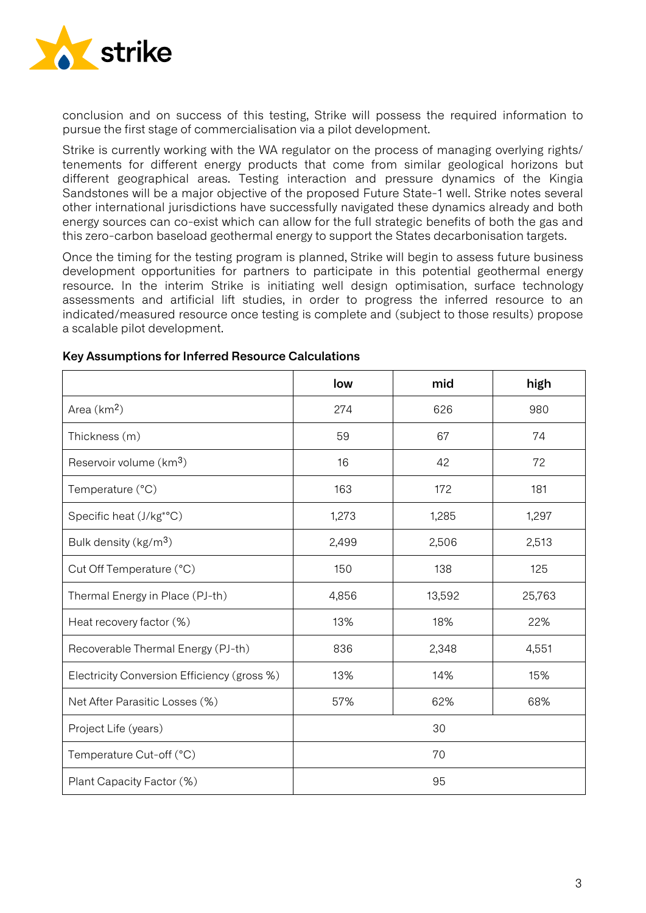

conclusion and on success of this testing, Strike will possess the required information to pursue the first stage of commercialisation via a pilot development.

Strike is currently working with the WA regulator on the process of managing overlying rights/ tenements for different energy products that come from similar geological horizons but different geographical areas. Testing interaction and pressure dynamics of the Kingia Sandstones will be a major objective of the proposed Future State-1 well. Strike notes several other international jurisdictions have successfully navigated these dynamics already and both energy sources can co-exist which can allow for the full strategic benefits of both the gas and this zero-carbon baseload geothermal energy to support the States decarbonisation targets.

Once the timing for the testing program is planned, Strike will begin to assess future business development opportunities for partners to participate in this potential geothermal energy resource. In the interim Strike is initiating well design optimisation, surface technology assessments and artificial lift studies, in order to progress the inferred resource to an indicated/measured resource once testing is complete and (subject to those results) propose a scalable pilot development.

|                                             | low   | mid    | high   |  |
|---------------------------------------------|-------|--------|--------|--|
| Area $(km2)$                                | 274   | 626    | 980    |  |
| Thickness (m)                               | 59    | 67     | 74     |  |
| Reservoir volume (km <sup>3</sup> )         | 16    | 42     | 72     |  |
| Temperature (°C)                            | 163   | 172    | 181    |  |
| Specific heat (J/kg <sup>*</sup> °C)        | 1,273 | 1,285  | 1,297  |  |
| Bulk density (kg/m <sup>3</sup> )           | 2,499 | 2,506  | 2,513  |  |
| Cut Off Temperature (°C)                    | 150   | 138    | 125    |  |
| Thermal Energy in Place (PJ-th)             | 4,856 | 13,592 | 25,763 |  |
| Heat recovery factor (%)                    | 13%   | 18%    | 22%    |  |
| Recoverable Thermal Energy (PJ-th)          | 836   | 2,348  | 4,551  |  |
| Electricity Conversion Efficiency (gross %) | 13%   | 14%    | 15%    |  |
| Net After Parasitic Losses (%)              | 57%   | 62%    | 68%    |  |
| Project Life (years)                        | 30    |        |        |  |
| Temperature Cut-off (°C)                    | 70    |        |        |  |
| Plant Capacity Factor (%)                   | 95    |        |        |  |

## **Key Assumptions for Inferred Resource Calculations**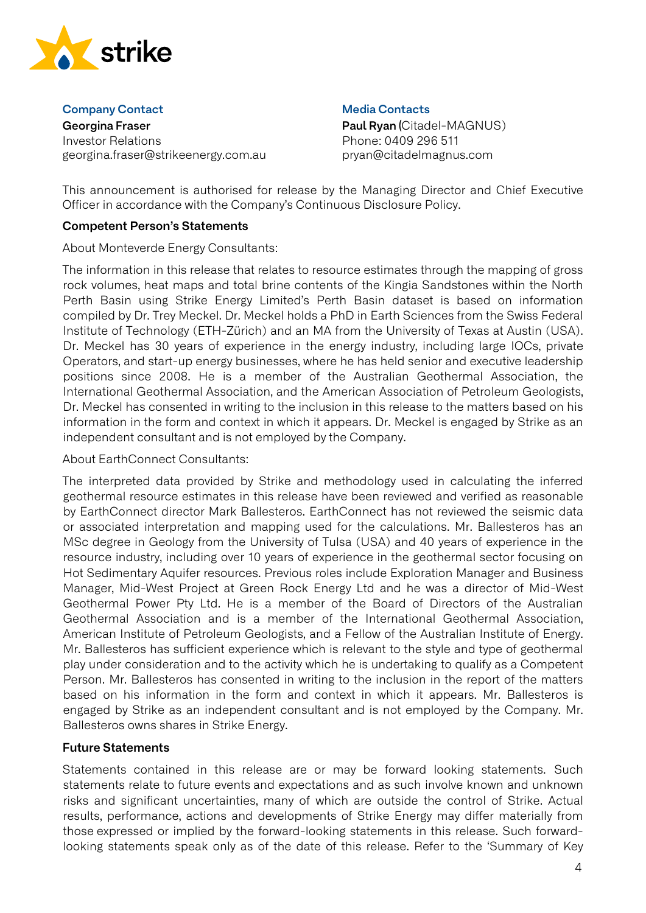

#### **Company Contact**

**Georgina Fraser** Investor Relations georgina.fraser@strikeenergy.com.au

## **Media Contacts**

**Paul Ryan (**Citadel-MAGNUS) Phone: 0409 296 511 pryan@citadelmagnus.com

This announcement is authorised for release by the Managing Director and Chief Executive Officer in accordance with the Company's Continuous Disclosure Policy.

# **Competent Person's Statements**

About Monteverde Energy Consultants:

The information in this release that relates to resource estimates through the mapping of gross rock volumes, heat maps and total brine contents of the Kingia Sandstones within the North Perth Basin using Strike Energy Limited's Perth Basin dataset is based on information compiled by Dr. Trey Meckel. Dr. Meckel holds a PhD in Earth Sciences from the Swiss Federal Institute of Technology (ETH-Zürich) and an MA from the University of Texas at Austin (USA). Dr. Meckel has 30 years of experience in the energy industry, including large IOCs, private Operators, and start-up energy businesses, where he has held senior and executive leadership positions since 2008. He is a member of the Australian Geothermal Association, the International Geothermal Association, and the American Association of Petroleum Geologists, Dr. Meckel has consented in writing to the inclusion in this release to the matters based on his information in the form and context in which it appears. Dr. Meckel is engaged by Strike as an independent consultant and is not employed by the Company.

# About EarthConnect Consultants:

The interpreted data provided by Strike and methodology used in calculating the inferred geothermal resource estimates in this release have been reviewed and verified as reasonable by EarthConnect director Mark Ballesteros. EarthConnect has not reviewed the seismic data or associated interpretation and mapping used for the calculations. Mr. Ballesteros has an MSc degree in Geology from the University of Tulsa (USA) and 40 years of experience in the resource industry, including over 10 years of experience in the geothermal sector focusing on Hot Sedimentary Aquifer resources. Previous roles include Exploration Manager and Business Manager, Mid-West Project at Green Rock Energy Ltd and he was a director of Mid-West Geothermal Power Pty Ltd. He is a member of the Board of Directors of the Australian Geothermal Association and is a member of the International Geothermal Association, American Institute of Petroleum Geologists, and a Fellow of the Australian Institute of Energy. Mr. Ballesteros has sufficient experience which is relevant to the style and type of geothermal play under consideration and to the activity which he is undertaking to qualify as a Competent Person. Mr. Ballesteros has consented in writing to the inclusion in the report of the matters based on his information in the form and context in which it appears. Mr. Ballesteros is engaged by Strike as an independent consultant and is not employed by the Company. Mr. Ballesteros owns shares in Strike Energy.

# **Future Statements**

Statements contained in this release are or may be forward looking statements. Such statements relate to future events and expectations and as such involve known and unknown risks and significant uncertainties, many of which are outside the control of Strike. Actual results, performance, actions and developments of Strike Energy may differ materially from those expressed or implied by the forward-looking statements in this release. Such forwardlooking statements speak only as of the date of this release. Refer to the 'Summary of Key